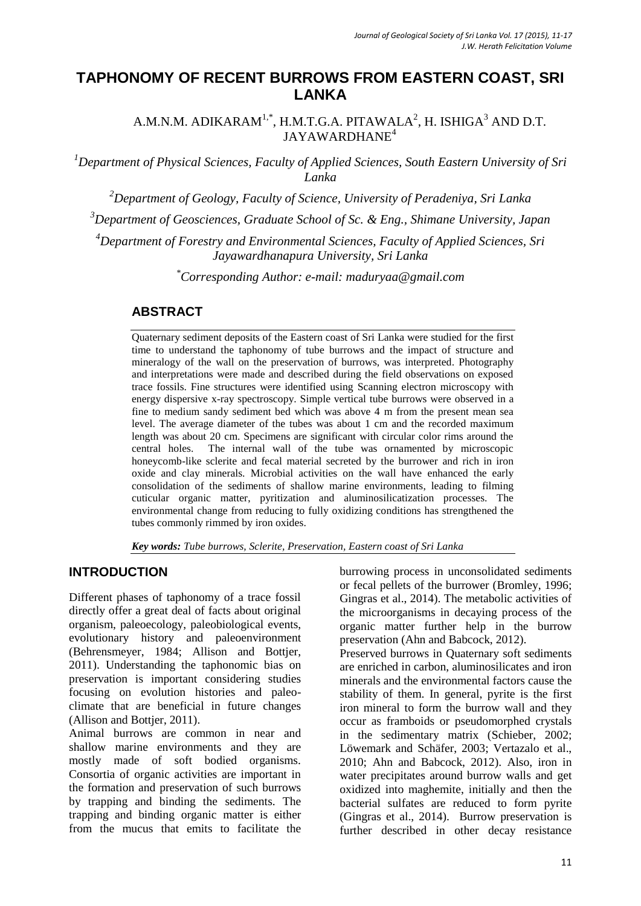# **TAPHONOMY OF RECENT BURROWS FROM EASTERN COAST, SRI LANKA**

A.M.N.M. ADIKARAM $^{1,*}$ , H.M.T.G.A. PITAWALA $^{2}$ , H. ISHIGA $^{3}$  AND D.T. JAYAWARDHANE<sup>4</sup>

*<sup>1</sup>Department of Physical Sciences, Faculty of Applied Sciences, South Eastern University of Sri Lanka*

*<sup>2</sup>Department of Geology, Faculty of Science, University of Peradeniya, Sri Lanka*

*<sup>3</sup>Department of Geosciences, Graduate School of Sc. & Eng., Shimane University, Japan*

*<sup>4</sup>Department of Forestry and Environmental Sciences, Faculty of Applied Sciences, Sri Jayawardhanapura University, Sri Lanka*

*\*Corresponding Author: e-mail: [maduryaa@gmail.com](mailto:maduryaa@gmail.com)*

## **ABSTRACT**

Quaternary sediment deposits of the Eastern coast of Sri Lanka were studied for the first time to understand the taphonomy of tube burrows and the impact of structure and mineralogy of the wall on the preservation of burrows, was interpreted. Photography and interpretations were made and described during the field observations on exposed trace fossils. Fine structures were identified using Scanning electron microscopy with energy dispersive x-ray spectroscopy. Simple vertical tube burrows were observed in a fine to medium sandy sediment bed which was above 4 m from the present mean sea level. The average diameter of the tubes was about 1 cm and the recorded maximum length was about 20 cm. Specimens are significant with circular color rims around the central holes. The internal wall of the tube was ornamented by microscopic honeycomb-like sclerite and fecal material secreted by the burrower and rich in iron oxide and clay minerals. Microbial activities on the wall have enhanced the early consolidation of the sediments of shallow marine environments, leading to filming cuticular organic matter, pyritization and aluminosilicatization processes. The environmental change from reducing to fully oxidizing conditions has strengthened the tubes commonly rimmed by iron oxides.

*Key words: Tube burrows, Sclerite, Preservation, Eastern coast of Sri Lanka*

## **INTRODUCTION**

Different phases of taphonomy of a trace fossil directly offer a great deal of facts about original organism, paleoecology, paleobiological events, evolutionary history and paleoenvironment (Behrensmeyer, 1984; Allison and Bottjer, 2011). Understanding the taphonomic bias on preservation is important considering studies focusing on evolution histories and paleoclimate that are beneficial in future changes (Allison and Bottjer, 2011).

Animal burrows are common in near and shallow marine environments and they are mostly made of soft bodied organisms. Consortia of organic activities are important in the formation and preservation of such burrows by trapping and binding the sediments. The trapping and binding organic matter is either from the mucus that emits to facilitate the burrowing process in unconsolidated sediments or fecal pellets of the burrower (Bromley, 1996; Gingras et al., 2014). The metabolic activities of the microorganisms in decaying process of the organic matter further help in the burrow preservation (Ahn and Babcock, 2012).

Preserved burrows in Quaternary soft sediments are enriched in carbon, aluminosilicates and iron minerals and the environmental factors cause the stability of them. In general, pyrite is the first iron mineral to form the burrow wall and they occur as framboids or pseudomorphed crystals in the sedimentary matrix (Schieber, 2002; Löwemark and Schäfer, 2003; Vertazalo et al., 2010; Ahn and Babcock, 2012). Also, iron in water precipitates around burrow walls and get oxidized into maghemite, initially and then the bacterial sulfates are reduced to form pyrite (Gingras et al., 2014). Burrow preservation is further described in other decay resistance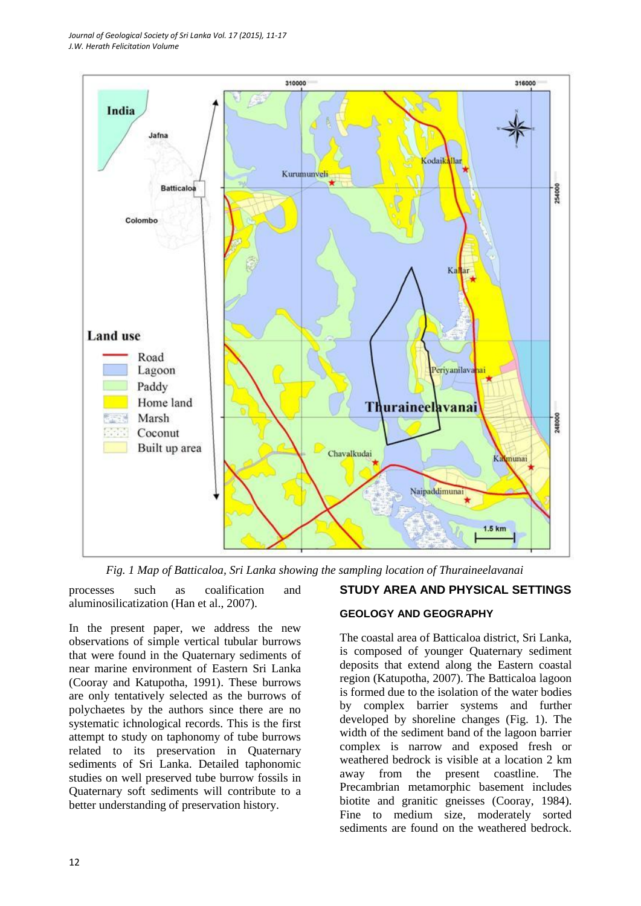

*Fig. 1 Map of Batticaloa, Sri Lanka showing the sampling location of Thuraineelavanai*

processes such as coalification and aluminosilicatization (Han et al., 2007).

In the present paper, we address the new observations of simple vertical tubular burrows that were found in the Quaternary sediments of near marine environment of Eastern Sri Lanka (Cooray and Katupotha, 1991). These burrows are only tentatively selected as the burrows of polychaetes by the authors since there are no systematic ichnological records. This is the first attempt to study on taphonomy of tube burrows related to its preservation in Quaternary sediments of Sri Lanka. Detailed taphonomic studies on well preserved tube burrow fossils in Quaternary soft sediments will contribute to a better understanding of preservation history.

### **STUDY AREA AND PHYSICAL SETTINGS**

### **GEOLOGY AND GEOGRAPHY**

The coastal area of Batticaloa district, Sri Lanka, is composed of younger Quaternary sediment deposits that extend along the Eastern coastal region (Katupotha, 2007). The Batticaloa lagoon is formed due to the isolation of the water bodies by complex barrier systems and further developed by shoreline changes (Fig. 1). The width of the sediment band of the lagoon barrier complex is narrow and exposed fresh or weathered bedrock is visible at a location 2 km away from the present coastline. The Precambrian metamorphic basement includes biotite and granitic gneisses (Cooray, 1984). Fine to medium size, moderately sorted sediments are found on the weathered bedrock.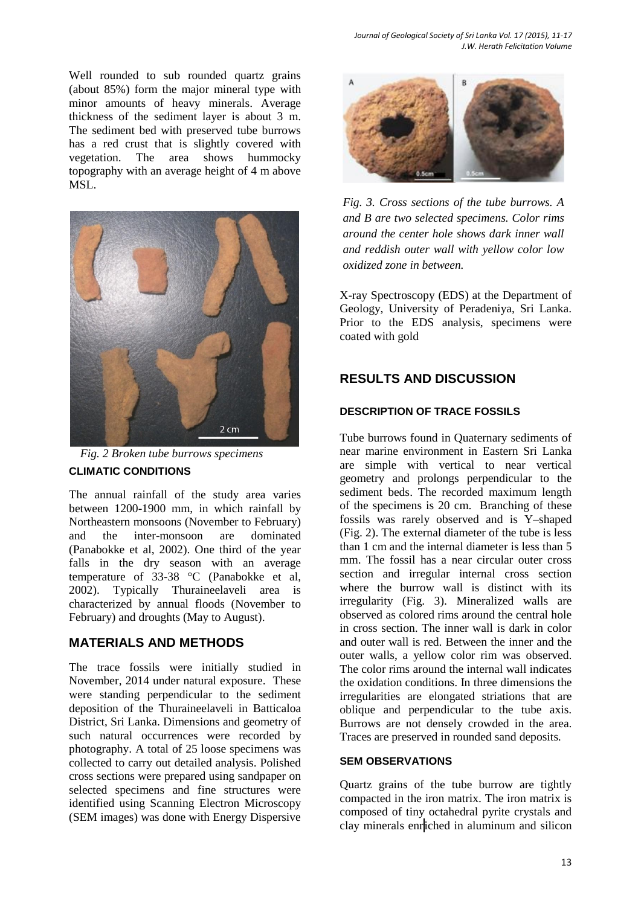*Journal of Geological Society of Sri Lanka Vol. 17 (2015), 11-17 J.W. Herath Felicitation Volume* 

Well rounded to sub rounded quartz grains (about 85%) form the major mineral type with minor amounts of heavy minerals. Average thickness of the sediment layer is about 3 m. The sediment bed with preserved tube burrows has a red crust that is slightly covered with vegetation. The area shows hummocky topography with an average height of 4 m above MSL.



*Fig. 2 Broken tube burrows specimens* 

### **CLIMATIC CONDITIONS**

The annual rainfall of the study area varies between 1200-1900 mm, in which rainfall by Northeastern monsoons (November to February) and the inter-monsoon are dominated (Panabokke et al, 2002). One third of the year falls in the dry season with an average temperature of 33-38 °C (Panabokke et al, 2002). Typically Thuraineelaveli area is characterized by annual floods (November to February) and droughts (May to August).

### **MATERIALS AND METHODS**

The trace fossils were initially studied in November, 2014 under natural exposure. These were standing perpendicular to the sediment deposition of the Thuraineelaveli in Batticaloa District, Sri Lanka. Dimensions and geometry of such natural occurrences were recorded by photography. A total of 25 loose specimens was collected to carry out detailed analysis. Polished cross sections were prepared using sandpaper on selected specimens and fine structures were identified using Scanning Electron Microscopy (SEM images) was done with Energy Dispersive



*Fig. 3. Cross sections of the tube burrows. A and B are two selected specimens. Color rims around the center hole shows dark inner wall and reddish outer wall with yellow color low oxidized zone in between.*

X-ray Spectroscopy (EDS) at the Department of Geology, University of Peradeniya, Sri Lanka. Prior to the EDS analysis, specimens were coated with gold

### **RESULTS AND DISCUSSION**

#### **DESCRIPTION OF TRACE FOSSILS**

Tube burrows found in Quaternary sediments of near marine environment in Eastern Sri Lanka are simple with vertical to near vertical geometry and prolongs perpendicular to the sediment beds. The recorded maximum length of the specimens is 20 cm. Branching of these fossils was rarely observed and is Y–shaped (Fig. 2). The external diameter of the tube is less than 1 cm and the internal diameter is less than 5 mm. The fossil has a near circular outer cross section and irregular internal cross section where the burrow wall is distinct with its irregularity (Fig. 3). Mineralized walls are observed as colored rims around the central hole in cross section. The inner wall is dark in color and outer wall is red. Between the inner and the outer walls, a yellow color rim was observed. The color rims around the internal wall indicates the oxidation conditions. In three dimensions the irregularities are elongated striations that are oblique and perpendicular to the tube axis. Burrows are not densely crowded in the area. Traces are preserved in rounded sand deposits.

#### **SEM OBSERVATIONS**

Quartz grains of the tube burrow are tightly compacted in the iron matrix. The iron matrix is composed of tiny octahedral pyrite crystals and clay minerals enriched in aluminum and silicon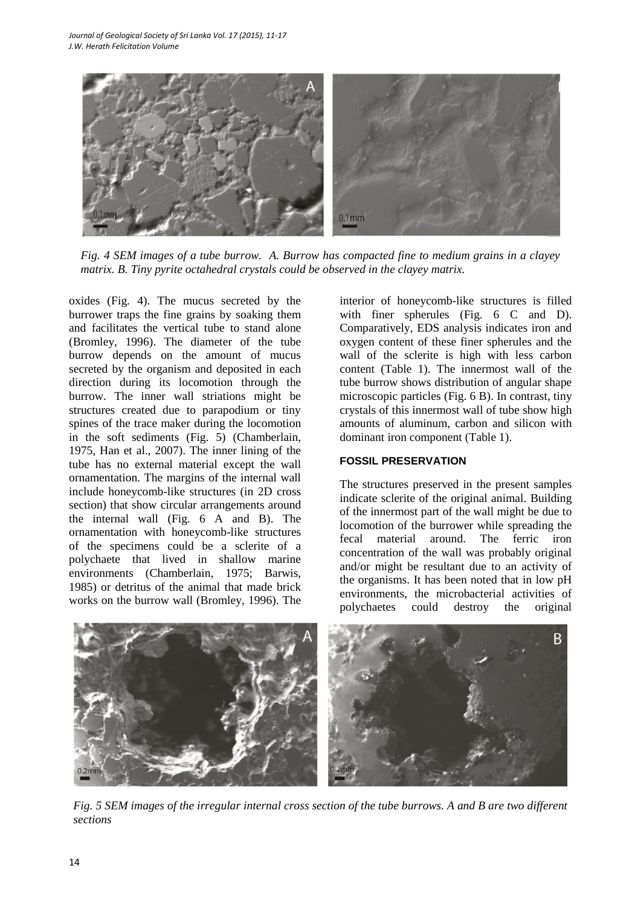

*Fig. 4 SEM images of a tube burrow. A. Burrow has compacted fine to medium grains in a clayey matrix. B. Tiny pyrite octahedral crystals could be observed in the clayey matrix.* 

oxides (Fig. 4). The mucus secreted by the burrower traps the fine grains by soaking them and facilitates the vertical tube to stand alone (Bromley, 1996). The diameter of the tube burrow depends on the amount of mucus secreted by the organism and deposited in each direction during its locomotion through the burrow. The inner wall striations might be structures created due to parapodium or tiny spines of the trace maker during the locomotion in the soft sediments (Fig. 5) (Chamberlain, 1975, Han et al., 2007). The inner lining of the tube has no external material except the wall ornamentation. The margins of the internal wall include honeycomb-like structures (in 2D cross section) that show circular arrangements around the internal wall (Fig. 6 A and B). The ornamentation with honeycomb-like structures of the specimens could be a sclerite of a polychaete that lived in shallow marine environments (Chamberlain, 1975; Barwis, 1985) or detritus of the animal that made brick works on the burrow wall (Bromley, 1996). The

interior of honeycomb-like structures is filled with finer spherules (Fig. 6 C and D). Comparatively, EDS analysis indicates iron and oxygen content of these finer spherules and the wall of the sclerite is high with less carbon content (Table 1). The innermost wall of the tube burrow shows distribution of angular shape microscopic particles (Fig. 6 B). In contrast, tiny crystals of this innermost wall of tube show high amounts of aluminum, carbon and silicon with dominant iron component (Table 1).

#### **FOSSIL PRESERVATION**

The structures preserved in the present samples indicate sclerite of the original animal. Building of the innermost part of the wall might be due to locomotion of the burrower while spreading the fecal material around. The ferric iron concentration of the wall was probably original and/or might be resultant due to an activity of the organisms. It has been noted that in low pH environments, the microbacterial activities of polychaetes could destroy the original



*Fig. 5 SEM images of the irregular internal cross section of the tube burrows. A and B are two different sections*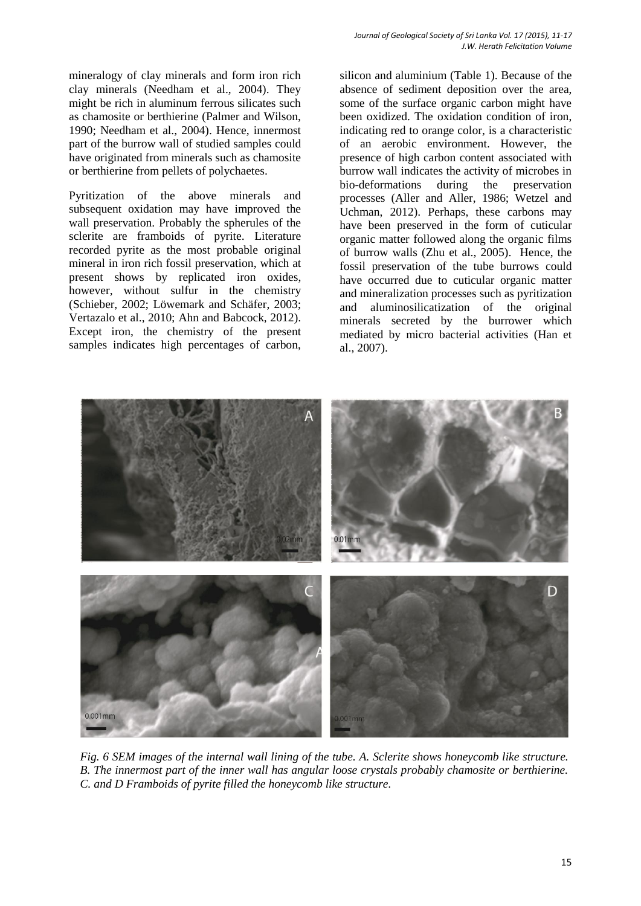mineralogy of clay minerals and form iron rich clay minerals (Needham et al., 2004). They might be rich in aluminum ferrous silicates such as chamosite or berthierine (Palmer and Wilson, 1990; Needham et al., 2004). Hence, innermost part of the burrow wall of studied samples could have originated from minerals such as chamosite or berthierine from pellets of polychaetes.

Pyritization of the above minerals and subsequent oxidation may have improved the wall preservation. Probably the spherules of the sclerite are framboids of pyrite. Literature recorded pyrite as the most probable original mineral in iron rich fossil preservation, which at present shows by replicated iron oxides, however, without sulfur in the chemistry (Schieber, 2002; Löwemark and Schäfer, 2003; Vertazalo et al., 2010; Ahn and Babcock, 2012). Except iron, the chemistry of the present samples indicates high percentages of carbon,

silicon and aluminium (Table 1). Because of the absence of sediment deposition over the area, some of the surface organic carbon might have been oxidized. The oxidation condition of iron, indicating red to orange color, is a characteristic of an aerobic environment. However, the presence of high carbon content associated with burrow wall indicates the activity of microbes in bio-deformations during the preservation processes (Aller and Aller, 1986; Wetzel and Uchman, 2012). Perhaps, these carbons may have been preserved in the form of cuticular organic matter followed along the organic films of burrow walls (Zhu et al., 2005). Hence, the fossil preservation of the tube burrows could have occurred due to cuticular organic matter and mineralization processes such as pyritization and aluminosilicatization of the original minerals secreted by the burrower which mediated by micro bacterial activities (Han et al., 2007).



*Fig. 6 SEM images of the internal wall lining of the tube. A. Sclerite shows honeycomb like structure. B. The innermost part of the inner wall has angular loose crystals probably chamosite or berthierine. C. and D Framboids of pyrite filled the honeycomb like structure.*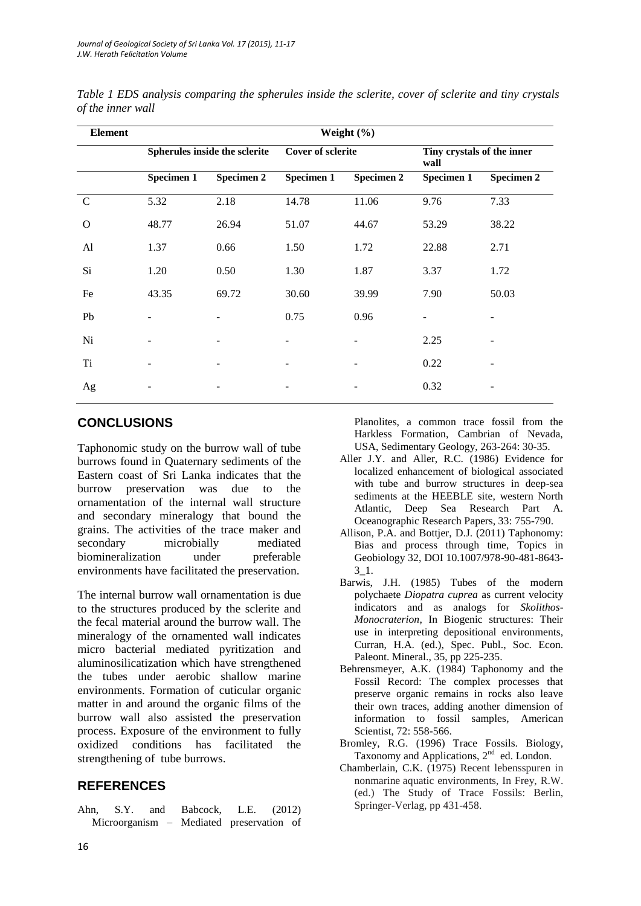| Weight $(\% )$                |                   |                          |                   |                                    |            |
|-------------------------------|-------------------|--------------------------|-------------------|------------------------------------|------------|
| Spherules inside the sclerite |                   | <b>Cover of sclerite</b> |                   | Tiny crystals of the inner<br>wall |            |
| <b>Specimen 1</b>             | <b>Specimen 2</b> | <b>Specimen 1</b>        | <b>Specimen 2</b> | Specimen 1                         | Specimen 2 |
| 5.32                          | 2.18              | 14.78                    | 11.06             | 9.76                               | 7.33       |
| 48.77                         | 26.94             | 51.07                    | 44.67             | 53.29                              | 38.22      |
| 1.37                          | 0.66              | 1.50                     | 1.72              | 22.88                              | 2.71       |
| 1.20                          | 0.50              | 1.30                     | 1.87              | 3.37                               | 1.72       |
| 43.35                         | 69.72             | 30.60                    | 39.99             | 7.90                               | 50.03      |
|                               |                   | 0.75                     | 0.96              |                                    |            |
|                               |                   |                          |                   | 2.25                               |            |
|                               |                   |                          |                   | 0.22                               |            |
|                               |                   |                          |                   | 0.32                               |            |
|                               |                   |                          |                   |                                    |            |

*Table 1 EDS analysis comparing the spherules inside the sclerite, cover of sclerite and tiny crystals of the inner wall*

## **CONCLUSIONS**

Taphonomic study on the burrow wall of tube burrows found in Quaternary sediments of the Eastern coast of Sri Lanka indicates that the burrow preservation was due to the ornamentation of the internal wall structure and secondary mineralogy that bound the grains. The activities of the trace maker and secondary microbially mediated biomineralization under preferable environments have facilitated the preservation.

The internal burrow wall ornamentation is due to the structures produced by the sclerite and the fecal material around the burrow wall. The mineralogy of the ornamented wall indicates micro bacterial mediated pyritization and aluminosilicatization which have strengthened the tubes under aerobic shallow marine environments. Formation of cuticular organic matter in and around the organic films of the burrow wall also assisted the preservation process. Exposure of the environment to fully oxidized conditions has facilitated the strengthening of tube burrows.

## **REFERENCES**

Ahn, S.Y. and Babcock, L.E. (2012) Microorganism – Mediated preservation of Planolites, a common trace fossil from the Harkless Formation, Cambrian of Nevada, USA, Sedimentary Geology, 263-264: 30-35.

- Aller J.Y. and Aller, R.C. (1986) Evidence for localized enhancement of biological associated with tube and burrow structures in deep-sea sediments at the HEEBLE site, western North Atlantic, Deep Sea Research Part A. Oceanographic Research Papers, 33: 755-790.
- Allison, P.A. and Bottjer, D.J. (2011) Taphonomy: Bias and process through time, Topics in Geobiology 32, DOI 10.1007/978-90-481-8643- 3\_1.
- Barwis, J.H. (1985) Tubes of the modern polychaete *Diopatra cuprea* as current velocity indicators and as analogs for *Skolithos-Monocraterion*, In Biogenic structures: Their use in interpreting depositional environments, Curran, H.A. (ed.), Spec. Publ., Soc. Econ. Paleont. Mineral., 35, pp 225-235.
- Behrensmeyer, A.K. (1984) Taphonomy and the Fossil Record: The complex processes that preserve organic remains in rocks also leave their own traces, adding another dimension of information to fossil samples*,* American Scientist, 72: 558-566.
- Bromley, R.G. (1996) Trace Fossils. Biology, Taxonomy and Applications,  $2<sup>nd</sup>$  ed. London.
- Chamberlain, C.K. (1975) Recent lebensspuren in nonmarine aquatic environments, In Frey, R.W. (ed.) The Study of Trace Fossils: Berlin, Springer-Verlag, pp 431-458.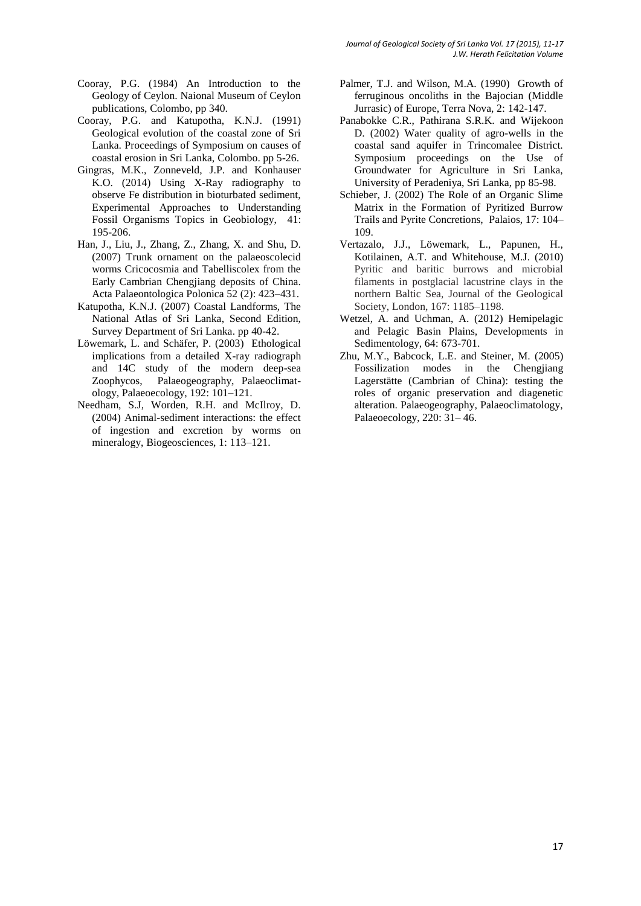- Cooray, P.G. (1984) An Introduction to the Geology of Ceylon. Naional Museum of Ceylon publications, Colombo, pp 340.
- Cooray, P.G. and Katupotha, K.N.J. (1991) Geological evolution of the coastal zone of Sri Lanka. Proceedings of Symposium on causes of coastal erosion in Sri Lanka, Colombo. pp 5-26.
- Gingras, M.K., Zonneveld, J.P. and Konhauser K.O. (2014) Using X-Ray radiography to observe Fe distribution in bioturbated sediment, Experimental Approaches to [Understanding](http://link.springer.com/book/10.1007/978-94-017-8721-5) Fossil [Organisms](http://link.springer.com/book/10.1007/978-94-017-8721-5) Topics in [Geobiology,](http://link.springer.com/bookseries/6623) 41: 195-206.
- Han, J., Liu, J., Zhang, Z., Zhang, X. and Shu, D. (2007) Trunk ornament on the palaeoscolecid worms Cricocosmia and Tabelliscolex from the Early Cambrian Chengjiang deposits of China. Acta Palaeontologica Polonica 52 (2): 423–431.
- Katupotha, K.N.J. (2007) Coastal Landforms, The National Atlas of Sri Lanka, Second Edition, Survey Department of Sri Lanka. pp 40-42.
- Löwemark, L. and Schäfer, P. (2003) Ethological implications from a detailed X-ray radiograph and 14C study of the modern deep-sea Zoophycos, Palaeogeography, Palaeoclimatology, Palaeoecology, 192: 101–121.
- Needham, S.J, Worden, R.H. and McIlroy, D. (2004) Animal-sediment interactions: the effect of ingestion and excretion by worms on mineralogy, Biogeosciences, 1: 113–121.
- Palmer, T.J. and Wilson, M.A. (1990) Growth of ferruginous oncoliths in the Bajocian (Middle Jurrasic) of Europe, Terra Nova, 2: 142-147.
- Panabokke C.R., Pathirana S.R.K. and Wijekoon D. (2002) Water quality of agro-wells in the coastal sand aquifer in Trincomalee District. Symposium proceedings on the Use of Groundwater for Agriculture in Sri Lanka, University of Peradeniya, Sri Lanka, pp 85-98.
- Schieber, J. (2002) The Role of an Organic Slime Matrix in the Formation of Pyritized Burrow Trails and Pyrite Concretions, Palaios, 17: 104– 109.
- Vertazalo, J.J., Löwemark, L., Papunen, H., Kotilainen, A.T. and Whitehouse, M.J. (2010) Pyritic and baritic burrows and microbial filaments in postglacial lacustrine clays in the northern Baltic Sea, Journal of the Geological Society, London, 167: 1185–1198.
- Wetzel, A. and Uchman, A. (2012) Hemipelagic and Pelagic Basin Plains, Developments in Sedimentology, 64: 673-701.
- Zhu, M.Y., Babcock, L.E. and Steiner, M. (2005) Fossilization modes in the Chengjiang Lagerstätte (Cambrian of China): testing the roles of organic preservation and diagenetic alteration. Palaeogeography, Palaeoclimatology, Palaeoecology, 220: 31– 46.